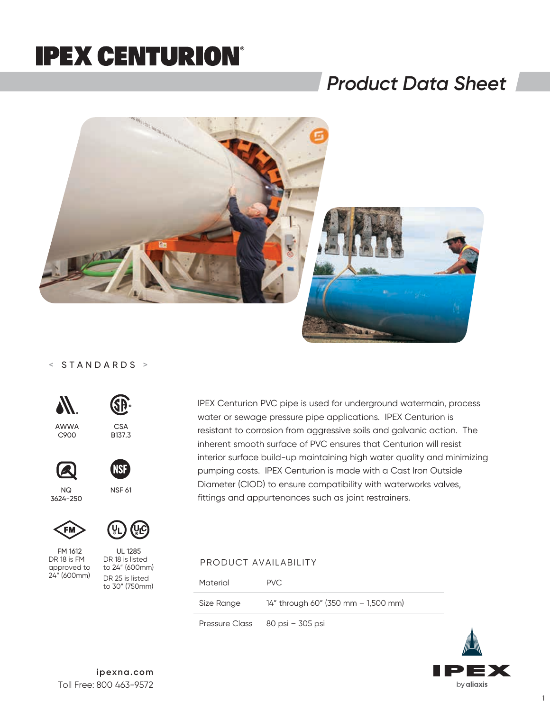### *Product Data Sheet*



#### < STANDARDS >



AWWA  $C900$ 





NSF 61

CSA B<sub>137.3</sub>

SĐ

 $N<sub>O</sub>$ 3624-250



FM 1612 DR 18 is FM approved to 24" (600mm)



DR 18 is listed to 24" (600mm) DR 25 is listed to 30" (750mm) IPEX Centurion PVC pipe is used for underground watermain, process water or sewage pressure pipe applications. IPEX Centurion is resistant to corrosion from aggressive soils and galvanic action. The inherent smooth surface of PVC ensures that Centurion will resist interior surface build-up maintaining high water quality and minimizing pumping costs. IPEX Centurion is made with a Cast Iron Outside Diameter (CIOD) to ensure compatibility with waterworks valves, fittings and appurtenances such as joint restrainers.

#### PRODUCT AVAILABILITY

| Material   | PVC.                                |
|------------|-------------------------------------|
| Size Range | 14" through 60" (350 mm - 1,500 mm) |
|            | Pressure Class 80 psi – 305 psi     |

by aliaxis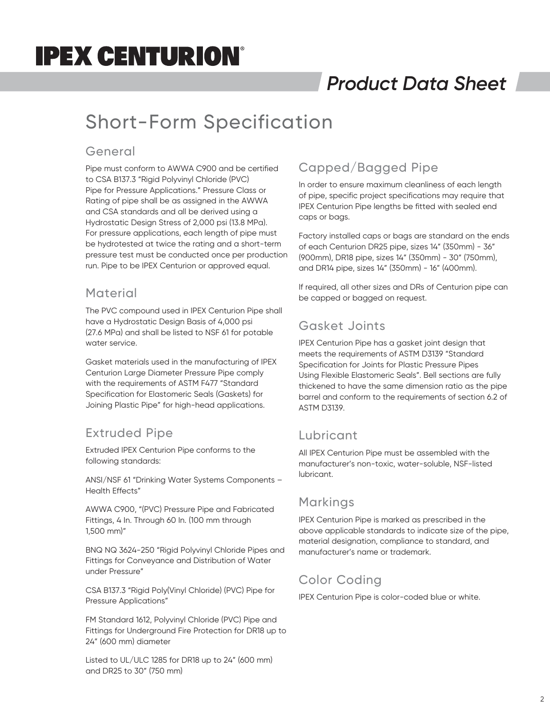## *Product Data Sheet*

### Short-Form Specification

#### General

Pipe must conform to AWWA C900 and be certified to CSA B137.3 "Rigid Polyvinyl Chloride (PVC) Pipe for Pressure Applications." Pressure Class or Rating of pipe shall be as assigned in the AWWA and CSA standards and all be derived using a Hydrostatic Design Stress of 2,000 psi (13.8 MPa). For pressure applications, each length of pipe must be hydrotested at twice the rating and a short-term pressure test must be conducted once per production run. Pipe to be IPEX Centurion or approved equal.

#### **Material**

The PVC compound used in IPEX Centurion Pipe shall have a Hydrostatic Design Basis of 4,000 psi (27.6 MPa) and shall be listed to NSF 61 for potable water service.

Gasket materials used in the manufacturing of IPEX Centurion Large Diameter Pressure Pipe comply with the requirements of ASTM F477 "Standard Specification for Elastomeric Seals (Gaskets) for Joining Plastic Pipe" for high-head applications.

### Extruded Pipe

Extruded IPEX Centurion Pipe conforms to the following standards:

ANSI/NSF 61 "Drinking Water Systems Components – Health Effects"

AWWA C900, "(PVC) Pressure Pipe and Fabricated Fittings, 4 In. Through 60 In. (100 mm through 1,500 mm)"

BNQ NQ 3624-250 "Rigid Polyvinyl Chloride Pipes and Fittings for Conveyance and Distribution of Water under Pressure"

CSA B137.3 "Rigid Poly(Vinyl Chloride) (PVC) Pipe for Pressure Applications"

FM Standard 1612, Polyvinyl Chloride (PVC) Pipe and Fittings for Underground Fire Protection for DR18 up to 24" (600 mm) diameter

Listed to UL/ULC 1285 for DR18 up to 24" (600 mm) and DR25 to 30" (750 mm)

### Capped/Bagged Pipe

In order to ensure maximum cleanliness of each length of pipe, specific project specifications may require that IPEX Centurion Pipe lengths be fitted with sealed end caps or bags.

Factory installed caps or bags are standard on the ends of each Centurion DR25 pipe, sizes 14" (350mm) - 36" (900mm), DR18 pipe, sizes 14" (350mm) - 30" (750mm), and DR14 pipe, sizes 14" (350mm) - 16" (400mm).

If required, all other sizes and DRs of Centurion pipe can be capped or bagged on request.

### Gasket Joints

IPEX Centurion Pipe has a gasket joint design that meets the requirements of ASTM D3139 "Standard Specification for Joints for Plastic Pressure Pipes Using Flexible Elastomeric Seals". Bell sections are fully thickened to have the same dimension ratio as the pipe barrel and conform to the requirements of section 6.2 of ASTM D3139.

#### Lubricant

All IPEX Centurion Pipe must be assembled with the manufacturer's non-toxic, water-soluble, NSF-listed lubricant.

#### Markings

IPEX Centurion Pipe is marked as prescribed in the above applicable standards to indicate size of the pipe, material designation, compliance to standard, and manufacturer's name or trademark.

#### Color Coding

IPEX Centurion Pipe is color-coded blue or white.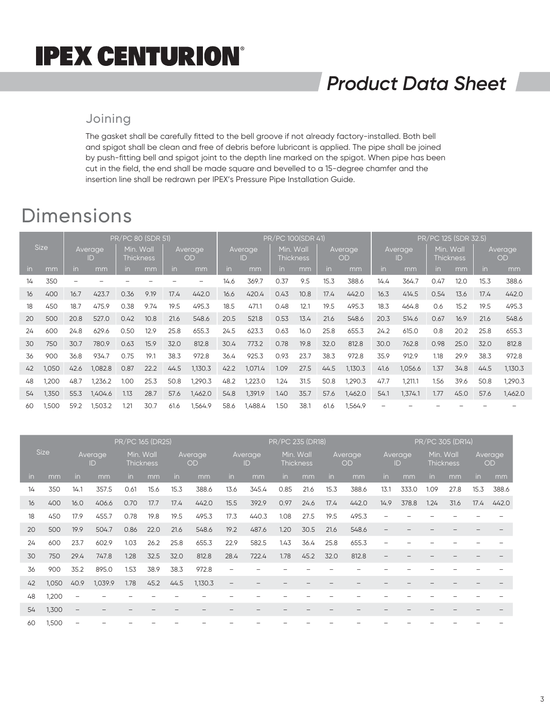## *Product Data Sheet*

#### Joining

The gasket shall be carefully fitted to the bell groove if not already factory-installed. Both bell and spigot shall be clean and free of debris before lubricant is applied. The pipe shall be joined by push-fitting bell and spigot joint to the depth line marked on the spigot. When pipe has been cut in the field, the end shall be made square and bevelled to a 15-degree chamfer and the insertion line shall be redrawn per IPEX's Pressure Pipe Installation Guide.

### Dimensions

|             |       | PR/PC 80 (SDR 51) |         |                  |      |          |         |         |         |                  | PR/PC 100(SDR 41) |         |         | PR/PC 125 (SDR 32.5) |         |                     |      |           |         |  |
|-------------|-------|-------------------|---------|------------------|------|----------|---------|---------|---------|------------------|-------------------|---------|---------|----------------------|---------|---------------------|------|-----------|---------|--|
| <b>Size</b> |       | Average           |         | Wall<br>Min.     |      | Average, |         | Average |         | Min. Wall        |                   | Average |         | Averaae              |         | <b>Wall</b><br>Min. |      | Average   |         |  |
|             | ID    |                   |         | <b>Thickness</b> |      | OD       |         | ID      |         | <b>Thickness</b> |                   | OD      |         | ID                   |         | <b>Thickness</b>    |      | <b>OD</b> |         |  |
| in.         | mm    | in.               | mm      | in.              | mm   | in       | mm      | in      | mm      | in               | mm                | in.     | mm      | in.                  | mm      | in.                 | mm   | in        | mm      |  |
| 14          | 350   |                   |         |                  |      |          |         | 14.6    | 369.7   | 0.37             | 9.5               | 15.3    | 388.6   | 14.4                 | 364.7   | 0.47                | 12.0 | 15.3      | 388.6   |  |
| 16          | 400   | 16.7              | 423.7   | 0.36             | 9.19 | 17.4     | 442.0   | 16.6    | 420.4   | 0.43             | 10.8              | 17.4    | 442.0   | 16.3                 | 414.5   | 0.54                | 13.6 | 17.4      | 442.0   |  |
| 18          | 450   | 18.7              | 475.9   | 0.38             | 9.74 | 19.5     | 495.3   | 18.5    | 471.1   | 0.48             | 12.1              | 19.5    | 495.3   | 18.3                 | 464.8   | 0.6                 | 15.2 | 19.5      | 495.3   |  |
| 20          | 500   | 20.8              | 527.0   | 0.42             | 10.8 | 21.6     | 548.6   | 20.5    | 521.8   | 0.53             | 13.4              | 21.6    | 548.6   | 20.3                 | 514.6   | 0.67                | 16.9 | 21.6      | 548.6   |  |
| 24          | 600   | 24.8              | 629.6   | 0.50             | 12.9 | 25.8     | 655.3   | 24.5    | 623.3   | 0.63             | 16.0              | 25.8    | 655.3   | 24.2                 | 615.0   | 0.8                 | 20.2 | 25.8      | 655.3   |  |
| 30          | 750   | 30.7              | 780.9   | 0.63             | 15.9 | 32.0     | 812.8   | 30.4    | 773.2   | 0.78             | 19.8              | 32.0    | 812.8   | 30.0                 | 762.8   | 0.98                | 25.0 | 32.0      | 812.8   |  |
| 36          | 900   | 36.8              | 934.7   | 0.75             | 19.1 | 38.3     | 972.8   | 36.4    | 925.3   | 0.93             | 23.7              | 38.3    | 972.8   | 35.9                 | 912.9   | 1.18                | 29.9 | 38.3      | 972.8   |  |
| 42          | 1,050 | 42.6              | 1,082.8 | 0.87             | 22.2 | 44.5     | 1,130.3 | 42.2    | 1,071.4 | 1.09             | 27.5              | 44.5    | 1,130.3 | 41.6                 | 1,056.6 | 1.37                | 34.8 | 44.5      | 1,130.3 |  |
| 48          | 1,200 | 48.7              | 1.236.2 | 1.00             | 25.3 | 50.8     | 1.290.3 | 48.2    | 1,223.0 | 1.24             | 31.5              | 50.8    | 1,290.3 | 47.7                 | 1.211.1 | 1.56                | 39.6 | 50.8      | 1.290.3 |  |
| 54          | 1,350 | 55.3              | 1,404.6 | 1.13             | 28.7 | 57.6     | 1,462.0 | 54.8    | 1,391.9 | 1.40             | 35.7              | 57.6    | 1,462.0 | 54.1                 | 1,374.1 | 1.77                | 45.0 | 57.6      | 1,462.0 |  |
| 60          | 1,500 | 59.2              | 1,503.2 | 1.21             | 30.7 | 61.6     | 1,564.9 | 58.6    | 1,488.4 | 1.50             | 38.1              | 61.6    | 1,564.9 |                      |         |                     |      |           |         |  |

|             | PR/PC 165 (DR25) |                   |                          |                               |      |                      |         | PR/PC 235 (DR18)  |       |                               |      |                      |       |                      | PR/PC 305 (DR14) |                               |      |                      |       |  |  |
|-------------|------------------|-------------------|--------------------------|-------------------------------|------|----------------------|---------|-------------------|-------|-------------------------------|------|----------------------|-------|----------------------|------------------|-------------------------------|------|----------------------|-------|--|--|
| <b>Size</b> |                  | Average<br>ID     |                          | Min. Wall<br><b>Thickness</b> |      | Average<br><b>OD</b> |         | Average<br>ID     |       | Min. Wall<br><b>Thickness</b> |      | Average<br><b>OD</b> |       | <b>Average</b><br>ID |                  | Min. Wall<br><b>Thickness</b> |      | Average<br><b>OD</b> |       |  |  |
| in          | mm               | in                | mm                       | in.                           | mm   | in                   | mm      | <i>in</i>         | mm    | in.                           | mm   | in.                  | mm    | in.                  | mm               | in.                           | mm   | <i>in</i>            | mm    |  |  |
| 14          | 350              | 14.1              | 357.5                    | 0.61                          | 15.6 | 15.3                 | 388.6   | 13.6              | 345.4 | 0.85                          | 21.6 | 15.3                 | 388.6 | 13.1                 | 333.0            | 1.09                          | 27.8 | 15.3                 | 388.6 |  |  |
| 16          | 400              | 16.0              | 406.6                    | 0.70                          | 17.7 | 17.4                 | 442.0   | 15.5              | 392.9 | 0.97                          | 24.6 | 17.4                 | 442.0 | 14.9                 | 378.8            | 1.24                          | 31.6 | 17.4                 | 442.0 |  |  |
| 18          | 450              | 17.9              | 455.7                    | 0.78                          | 19.8 | 19.5                 | 495.3   | 17.3              | 440.3 | 1.08                          | 27.5 | 19.5                 | 495.3 |                      |                  |                               |      |                      |       |  |  |
| 20          | 500              | 19.9              | 504.7                    | 0.86                          | 22.0 | 21.6                 | 548.6   | 19.2              | 487.6 | 1.20                          | 30.5 | 21.6                 | 548.6 |                      |                  |                               |      |                      |       |  |  |
| 24          | 600              | 23.7              | 602.9                    | 1.03                          | 26.2 | 25.8                 | 655.3   | 22.9              | 582.5 | 1.43                          | 36.4 | 25.8                 | 655.3 |                      |                  |                               |      |                      |       |  |  |
| 30          | 750              | 29.4              | 747.8                    | 1.28                          | 32.5 | 32.0                 | 812.8   | 28.4              | 722.4 | 1.78                          | 45.2 | 32.0                 | 812.8 |                      |                  |                               |      |                      |       |  |  |
| 36          | 900              | 35.2              | 895.0                    | 1.53                          | 38.9 | 38.3                 | 972.8   |                   |       |                               |      |                      |       |                      |                  |                               |      |                      |       |  |  |
| 42          | 1,050            | 40.9              | 1,039.9                  | 1.78                          | 45.2 | 44.5                 | 1,130.3 | $\qquad \qquad -$ |       |                               |      |                      |       |                      |                  |                               |      |                      |       |  |  |
| 48          | 1,200            | $\qquad \qquad -$ |                          |                               |      |                      |         |                   |       |                               |      |                      |       |                      |                  |                               |      |                      |       |  |  |
| 54          | 1,300            | $\qquad \qquad -$ | $\overline{\phantom{m}}$ | $\qquad \qquad -$             |      |                      |         |                   |       |                               |      |                      |       |                      |                  |                               |      |                      |       |  |  |
| 60          | 1,500            |                   |                          |                               |      |                      |         |                   |       |                               |      |                      |       |                      |                  |                               |      |                      |       |  |  |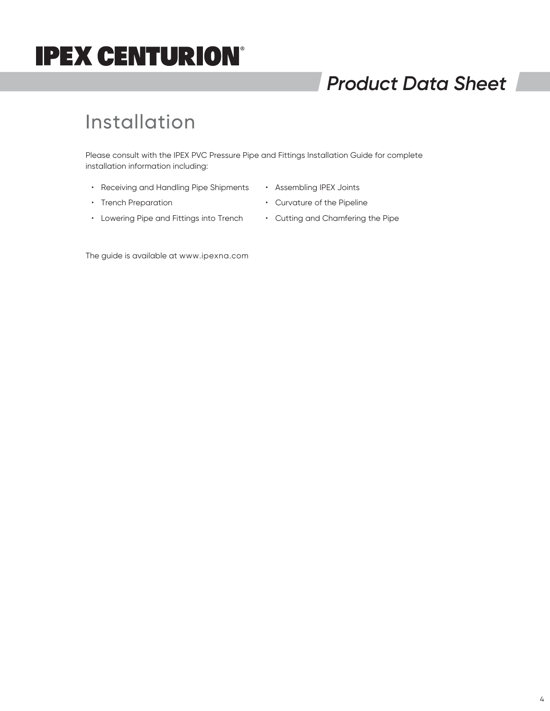## *Product Data Sheet*

### Installation

Please consult with the IPEX PVC Pressure Pipe and Fittings Installation Guide for complete installation information including:

- Receiving and Handling Pipe Shipments
- Assembling IPEX Joints

• Trench Preparation

- Curvature of the Pipeline
- Lowering Pipe and Fittings into Trench
- Cutting and Chamfering the Pipe

The guide is available at www.ipexna.com